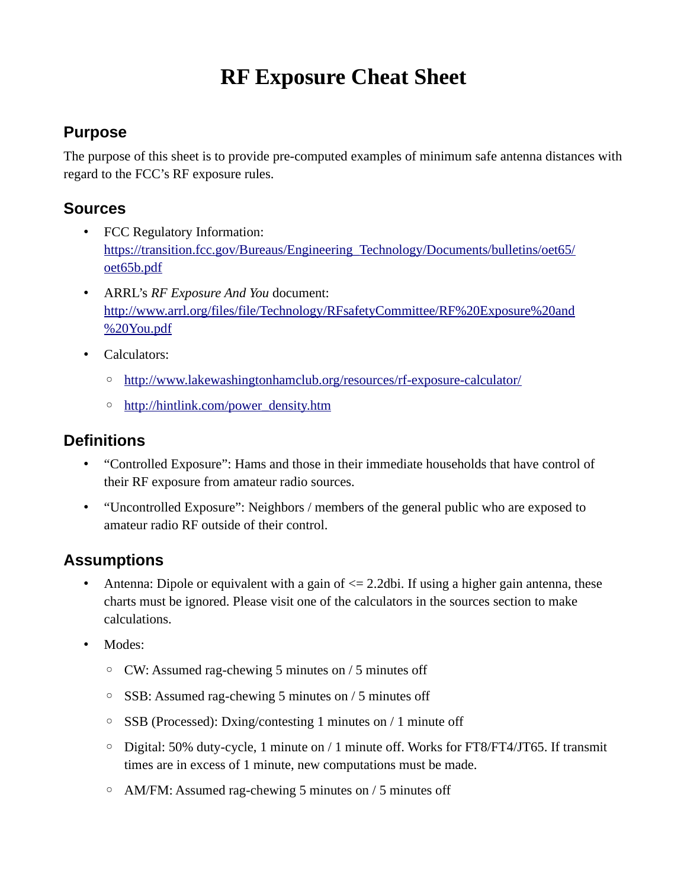# **RF Exposure Cheat Sheet**

### **Purpose**

The purpose of this sheet is to provide pre-computed examples of minimum safe antenna distances with regard to the FCC's RF exposure rules.

#### **Sources**

- FCC Regulatory Information: https://transition.fcc.gov/Bureaus/Engineering\_Technology/Documents/bulletins/oet65/ oet65b.pdf
- ARRL's *RF Exposure And You* document: http://www.arrl.org/files/file/Technology/RFsafetyCommittee/RF%20Exposure%20and %20You.pdf
- Calculators:
	- http://www.lakewashingtonhamclub.org/resources/rf-exposure-calculator/
	- http://hintlink.com/power\_density.htm

#### **Definitions**

- "Controlled Exposure": Hams and those in their immediate households that have control of their RF exposure from amateur radio sources.
- "Uncontrolled Exposure": Neighbors / members of the general public who are exposed to amateur radio RF outside of their control.

## **Assumptions**

- Antenna: Dipole or equivalent with a gain of  $\leq$  2.2dbi. If using a higher gain antenna, these charts must be ignored. Please visit one of the calculators in the sources section to make calculations.
- Modes:
	- CW: Assumed rag-chewing 5 minutes on / 5 minutes off
	- SSB: Assumed rag-chewing 5 minutes on / 5 minutes off
	- SSB (Processed): Dxing/contesting 1 minutes on / 1 minute off
	- Digital: 50% duty-cycle, 1 minute on / 1 minute off. Works for FT8/FT4/JT65. If transmit times are in excess of 1 minute, new computations must be made.
	- AM/FM: Assumed rag-chewing 5 minutes on / 5 minutes off